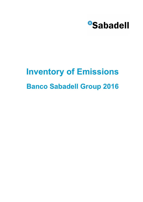

# **Banco Sabadell Group 2016 Inventory of Emissions**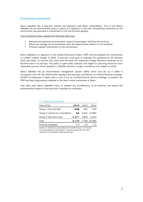### Environmental sustainability

Banco Sabadell has a long-term mission and approach also about sustainability. This is why Banco Sabadell has an environmental policy in place, is a signatory to the main international covenants on the environment and promotes a commitment to the environment globally.

The environment policy pursues the following objectives:

- Minimize the potential environmental impacts of processes, facilities and services.
- Effectively manage the environmental risks and opportunities inherent in the business.
- Promote a global commitment to the environment.

Banco Sabadell is a signatory to the Carbon Disclosure Project (CDP) and has adopted the commitment to combat climate change. In 2015, it was set a new goal of reducing  $CO<sub>2</sub>$  emissions by 3% between 2015 and 2020. To achieve this, each year the bank will implement energy efficiency measures at its facilities and in its services. This policy is particularly relevant with regard to procuring electricity from renewable sources, which resulted in a 99.56% decline in scope 2 emissions with respect to 2014.

Banco Sabadell has an environmental management system (EMS) which was set up in 2006 in accordance with the ISO 14001:2004 standard and has been certified for six Central Services buildings. 16.05% of employees in Spain work in one of the six certified Central Service buildings. In parallel, the EMS has been progressively adapted to the bank's other workplaces in Spain.

Year after year, Banco Sabadell works to improve the eco-efficiency of its facilities and reduce the environmental impacts of the services it provides to customers.

| <b>ILL INVENTORY OF EMISSIONS</b> |                    |      |              |
|-----------------------------------|--------------------|------|--------------|
| Tons of $CO2$                     | 2016               | 2015 | 2014         |
| Scope 1: fuel and fleet           | 648                | 600  | 552          |
| Scope 2: electricity consumption  | 54                 |      | 3.321 12.890 |
| Scope 3: Business trips           | 3.477 3.862 3.143  |      |              |
| Total                             | 4,179 7,783 16,585 |      |              |
| Total per employee                | 0.2                | 0.5  | 1.0          |

T1 Inventory of emissions

Inventory of emissions in accordance with " The GHG Protocol. A Corporate Accounting Standard, revised edition" , using the operational control and centralised roll-up methods. National scope data.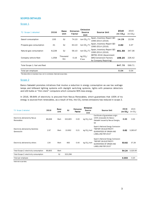# SCOPES DETAILED

## Scope<sub>1</sub>

| T2 Scope 1 detailed           | 2016  | <b>Base</b><br>Unit | <b>Emission</b><br>Factor | <b>Emission</b><br>Source<br>Unit | <b>Source Unit</b>                                                                | 2016<br>(tn CO <sub>2</sub> ) | 2015<br>(tn CO <sub>2</sub> ) |
|-------------------------------|-------|---------------------|---------------------------|-----------------------------------|-----------------------------------------------------------------------------------|-------------------------------|-------------------------------|
| Gasoil consumption            | 193   | GJ                  | 74.10                     | ton $CO2/T$ J                     | Spain, Inventory Report GEI<br>1990-2014 (2016)                                   | 14.29                         | 22.56                         |
| Propane gas consumption       | 41    | GJ                  | 63.10                     | ton $CO2/TJ$                      | Spain, Inventory Report GEI<br>1990-2014 (2016)                                   | 2.62                          | 3.37                          |
| Natural gas consumption       | 8,228 | GJ                  | 56.10                     | ton $CO2/TJ$                      | Spain, Inventory Report GEI<br>1990-2014 (2016)                                   | 461.59                        | 347.36                        |
| Company vehicle fleet         | 1,058 | Thousand<br>Km      | 0.16                      | kg $CO2$ /<br>P.km                | DEFRA 2016 (Government<br><b>GHG Conversion Factors</b><br>for Company Reporting) | 169.20                        | 226.42                        |
| Total Scope 1: fuel and fleet |       |                     |                           |                                   |                                                                                   | 647.70                        | 599.71                        |
| Total per employee            |       |                     |                           |                                   |                                                                                   | 0.04                          | 0.04                          |
|                               |       |                     |                           |                                   |                                                                                   |                               |                               |

The data refers to business trips, not to commutes. National scope data.

# Scope 2

Banco Sabadell promotes initiatives that involve a reduction in energy consumption as use low wattage lamps and billboard lighting systems with daylight switching systems, lights with presence detectors and LED bulbs or "thin client" computers which consume 90% less energy.

In 2016, 99.84% of electricity is procured from Nexus Renovables, which guarantees that 100% of its energy is sourced from renewables, as a result of this, the  $CO<sub>2</sub>$  tonnes emissions has reduced in scope 2.

| T3 Scope 2 detailed                              | 2016   | <b>Base</b><br>Unit | GJ      | <b>Emission</b><br>Factor | <b>Emission</b><br><b>Source</b><br><b>Unit</b> | <b>Source Unit</b>                                                                                                    | 2016<br>(tn CO <sub>2</sub> ) | 2015<br>(tn CO <sub>2</sub> ) |
|--------------------------------------------------|--------|---------------------|---------|---------------------------|-------------------------------------------------|-----------------------------------------------------------------------------------------------------------------------|-------------------------------|-------------------------------|
| Electricity delivered by Nexus<br>Renovables     | 89,668 | Mwh                 | 322,805 | 0.00                      | kg CO <sub>2</sub> /kwh                         | Certificate of guarantees origin<br>100% renewable for Banco<br>Sabadell issued by Nexus Energia,<br><b>SA</b>        | 0.00                          | 0.00                          |
| Electricity delivered by Iberdrola<br>Generación | 2.97   | Mwh                 | 10.692  | 0.21                      | kg CO <sub>2</sub> /kwh                         | Spain's National Energy Comission<br>"REPORT ON ELECTRICITY<br><b>GUARANTEES OF ORIGIN AND</b><br>LABELLING FOR 2015" | 0.62                          | 3,283.67                      |
| Electricity delivered by others                  | 134    | Mwh                 | 483     | 0.40                      | kg CO <sub>2</sub> /kwh                         | Spain's National Energy Comission<br>"REPORT ON ELECTRICITY<br><b>GUARANTEES OF ORIGIN AND</b><br>LABELLING FOR 2015" | 53.62                         | 37.28                         |
| Total Scope 2: electricity consumption           | 89,805 | Mwh                 |         |                           |                                                 |                                                                                                                       | 54.24                         | 3,320.95                      |
| Total Scope 2: electricity consumption           |        | GJ                  | 323,298 |                           |                                                 |                                                                                                                       |                               |                               |
| Total per employee                               |        |                     |         |                           |                                                 |                                                                                                                       | 0.003                         | 0.20                          |

National scope data.